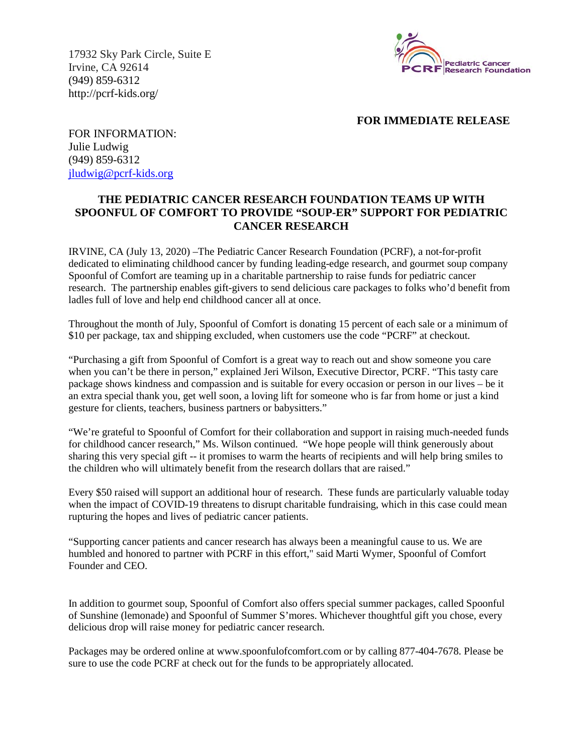17932 Sky Park Circle, Suite E Irvine, CA 92614 (949) 859-6312 http://pcrf-kids.org/



### **FOR IMMEDIATE RELEASE**

FOR INFORMATION: Julie Ludwig (949) 859-6312 [jludwig@pcrf-kids.org](mailto:jludwig@pcrf-kids.org)

# **THE PEDIATRIC CANCER RESEARCH FOUNDATION TEAMS UP WITH SPOONFUL OF COMFORT TO PROVIDE "SOUP-ER" SUPPORT FOR PEDIATRIC CANCER RESEARCH**

IRVINE, CA (July 13, 2020) –The Pediatric Cancer Research Foundation (PCRF), a not-for-profit dedicated to eliminating childhood cancer by funding leading-edge research, and gourmet soup company Spoonful of Comfort are teaming up in a charitable partnership to raise funds for pediatric cancer research. The partnership enables gift-givers to send delicious care packages to folks who'd benefit from ladles full of love and help end childhood cancer all at once.

Throughout the month of July, Spoonful of Comfort is donating 15 percent of each sale or a minimum of \$10 per package, tax and shipping excluded, when customers use the code "PCRF" at checkout.

"Purchasing a gift from Spoonful of Comfort is a great way to reach out and show someone you care when you can't be there in person," explained Jeri Wilson, Executive Director, PCRF. "This tasty care package shows kindness and compassion and is suitable for every occasion or person in our lives – be it an extra special thank you, get well soon, a loving lift for someone who is far from home or just a kind gesture for clients, teachers, business partners or babysitters."

"We're grateful to Spoonful of Comfort for their collaboration and support in raising much-needed funds for childhood cancer research," Ms. Wilson continued. "We hope people will think generously about sharing this very special gift -- it promises to warm the hearts of recipients and will help bring smiles to the children who will ultimately benefit from the research dollars that are raised."

Every \$50 raised will support an additional hour of research. These funds are particularly valuable today when the impact of COVID-19 threatens to disrupt charitable fundraising, which in this case could mean rupturing the hopes and lives of pediatric cancer patients.

"Supporting cancer patients and cancer research has always been a meaningful cause to us. We are humbled and honored to partner with PCRF in this effort," said Marti Wymer, Spoonful of Comfort Founder and CEO.

In addition to gourmet soup, Spoonful of Comfort also offers special summer packages, called Spoonful of Sunshine (lemonade) and Spoonful of Summer S'mores. Whichever thoughtful gift you chose, every delicious drop will raise money for pediatric cancer research.

Packages may be ordered online at www.spoonfulofcomfort.com or by calling 877-404-7678. Please be sure to use the code PCRF at check out for the funds to be appropriately allocated.